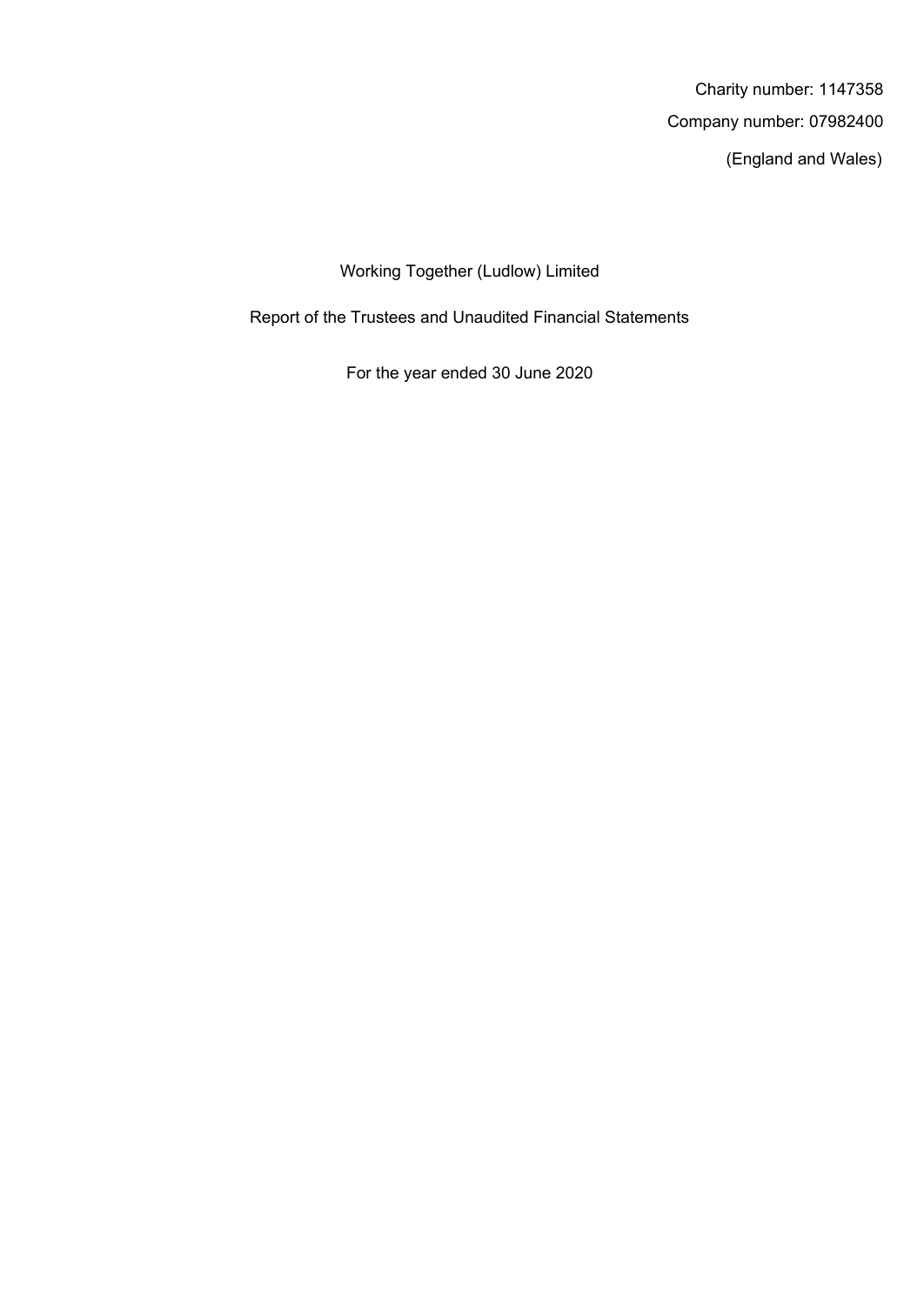(England and Wales) Company number: 07982400 Charity number: 1147358

Working Together (Ludlow) Limited

Report of the Trustees and Unaudited Financial Statements

For the year ended 30 June 2020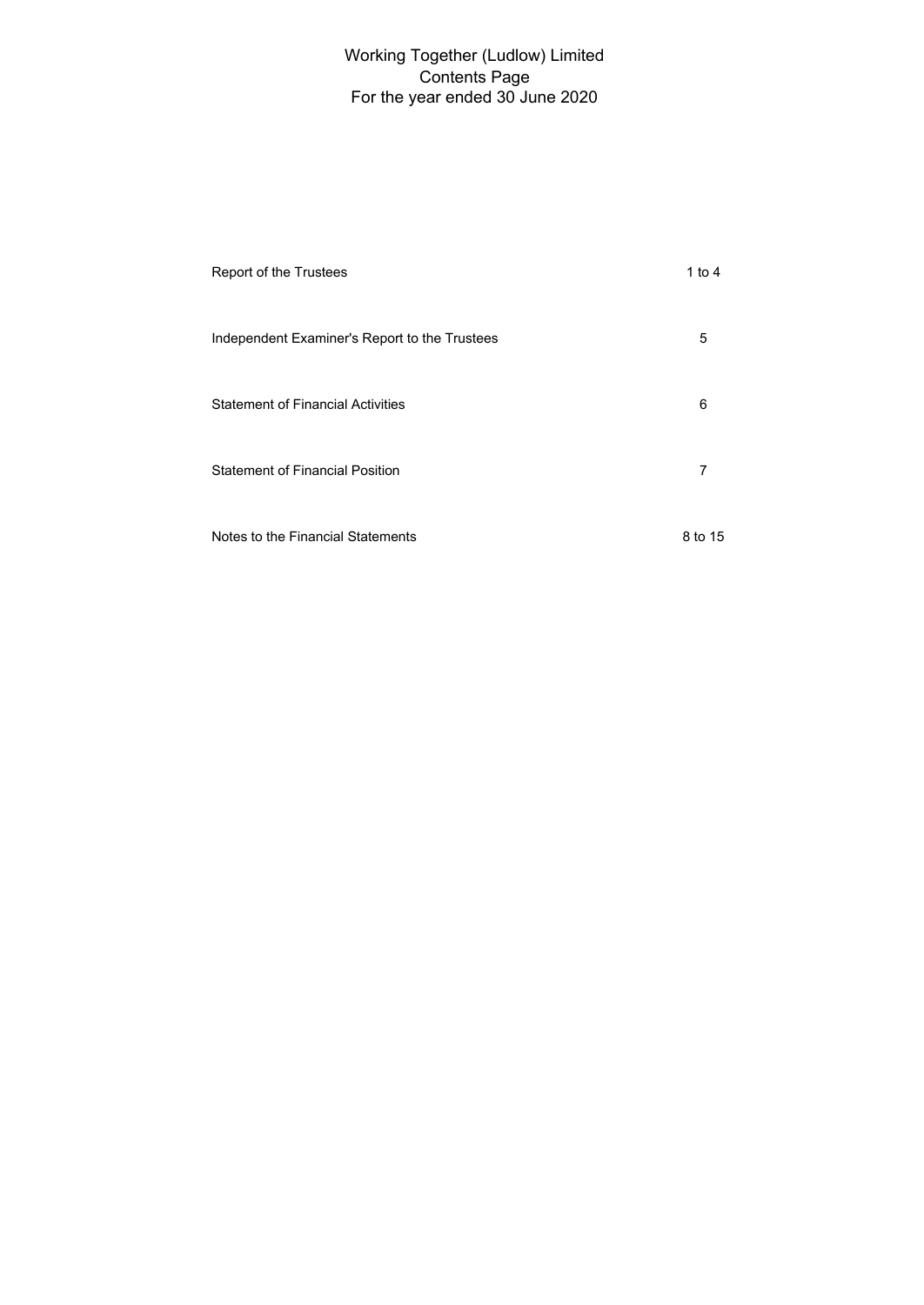# For the year ended 30 June 2020 Working Together (Ludlow) Limited Contents Page

| Report of the Trustees                        | 1 to 4  |
|-----------------------------------------------|---------|
| Independent Examiner's Report to the Trustees | 5       |
| <b>Statement of Financial Activities</b>      | 6       |
| <b>Statement of Financial Position</b>        | 7       |
| Notes to the Financial Statements             | 8 to 15 |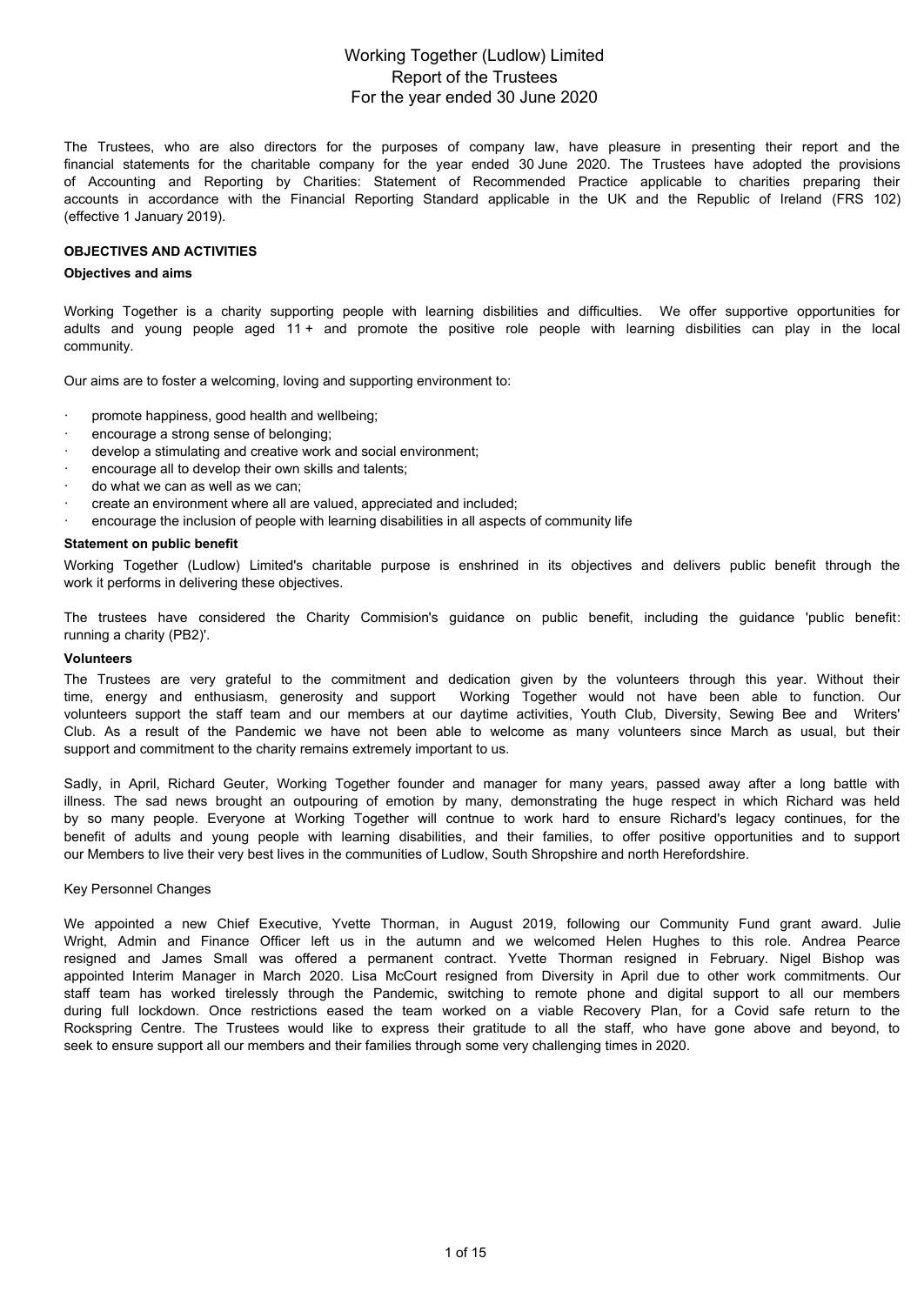## For the year ended 30 June 2020 Working Together (Ludlow) Limited Report of the Trustees

The Trustees, who are also directors for the purposes of company law, have pleasure in presenting their report and the financial statements for the charitable company for the year ended 30 June 2020. The Trustees have adopted the provisions of Accounting and Reporting by Charities: Statement of Recommended Practice applicable to charities preparing their accounts in accordance with the Financial Reporting Standard applicable in the UK and the Republic of Ireland (FRS 102) (effective 1 January 2019).

#### **OBJECTIVES AND ACTIVITIES**

#### **Objectives and aims**

Working Together is a charity supporting people with learning disbilities and difficulties. We offer supportive opportunities for adults and young people aged 11 + and promote the positive role people with learning disbilities can play in the local community.

Our aims are to foster a welcoming, loving and supporting environment to:

- promote happiness, good health and wellbeing;
- · encourage a strong sense of belonging;
- develop a stimulating and creative work and social environment;
- encourage all to develop their own skills and talents;
- do what we can as well as we can;
- · create an environment where all are valued, appreciated and included;
- encourage the inclusion of people with learning disabilities in all aspects of community life

#### **Statement on public benefit**

Working Together (Ludlow) Limited's charitable purpose is enshrined in its objectives and delivers public benefit through the work it performs in delivering these objectives.

The trustees have considered the Charity Commision's guidance on public benefit, including the guidance 'public benefit: running a charity (PB2)'.

#### **Volunteers**

The Trustees are very grateful to the commitment and dedication given by the volunteers through this year. Without their time, energy and enthusiasm, generosity and support Working Together would not have been able to function. Our volunteers support the staff team and our members at our daytime activities, Youth Club, Diversity, Sewing Bee and Writers' Club. As a result of the Pandemic we have not been able to welcome as many volunteers since March as usual, but their support and commitment to the charity remains extremely important to us.

Sadly, in April, Richard Geuter, Working Together founder and manager for many years, passed away after a long battle with illness. The sad news brought an outpouring of emotion by many, demonstrating the huge respect in which Richard was held by so many people. Everyone at Working Together will contnue to work hard to ensure Richard's legacy continues, for the benefit of adults and young people with learning disabilities, and their families, to offer positive opportunities and to support our Members to live their very best lives in the communities of Ludlow, South Shropshire and north Herefordshire.

#### Key Personnel Changes

We appointed a new Chief Executive, Yvette Thorman, in August 2019, following our Community Fund grant award. Julie Wright, Admin and Finance Officer left us in the autumn and we welcomed Helen Hughes to this role. Andrea Pearce resigned and James Small was offered a permanent contract. Yvette Thorman resigned in February. Nigel Bishop was appointed Interim Manager in March 2020. Lisa McCourt resigned from Diversity in April due to other work commitments. Our staff team has worked tirelessly through the Pandemic, switching to remote phone and digital support to all our members during full lockdown. Once restrictions eased the team worked on a viable Recovery Plan, for a Covid safe return to the Rockspring Centre. The Trustees would like to express their gratitude to all the staff, who have gone above and beyond, to seek to ensure support all our members and their families through some very challenging times in 2020.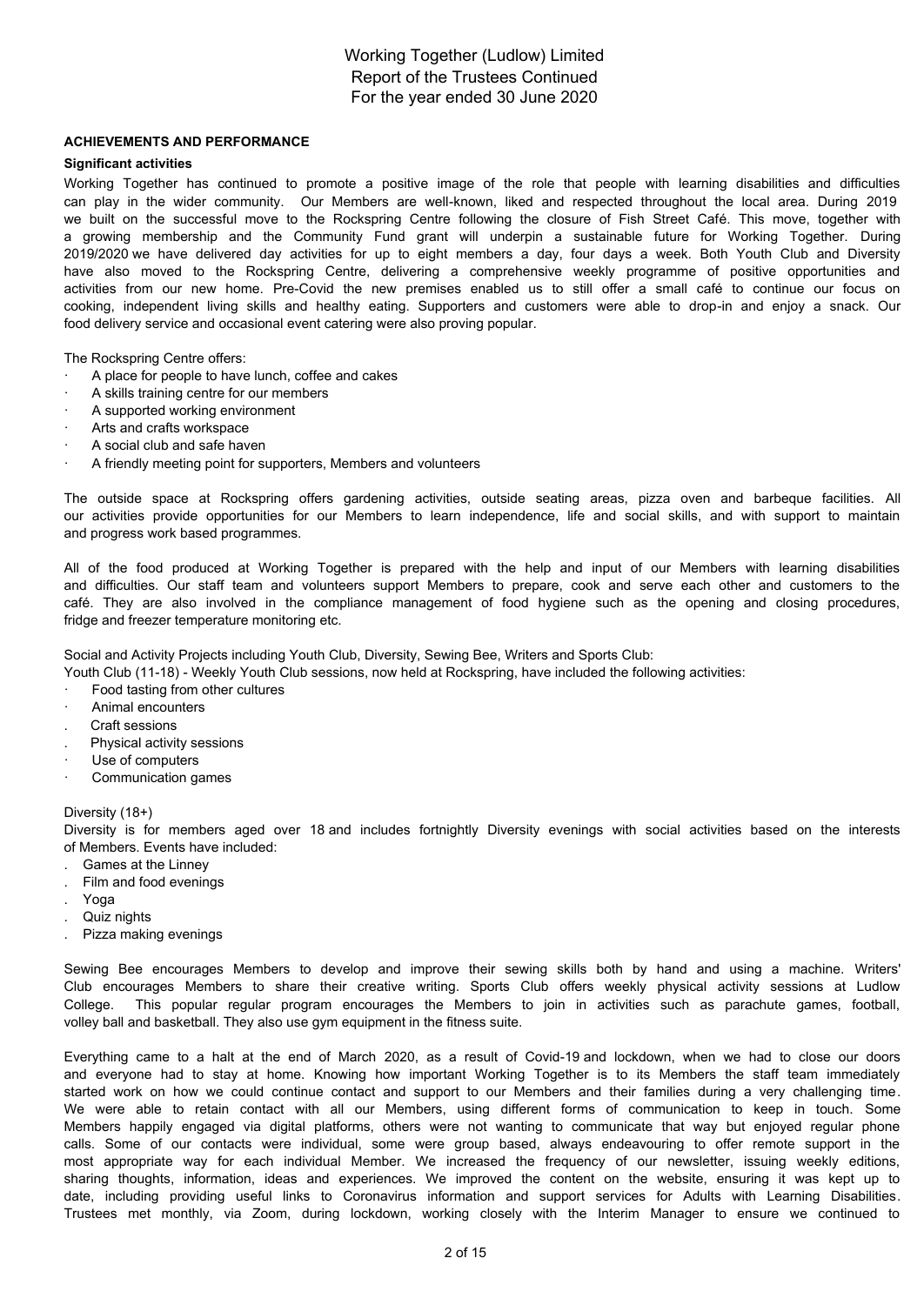# For the year ended 30 June 2020 Working Together (Ludlow) Limited Report of the Trustees Continued

## **ACHIEVEMENTS AND PERFORMANCE**

#### **Significant activities**

Working Together has continued to promote a positive image of the role that people with learning disabilities and difficulties can play in the wider community. Our Members are well-known, liked and respected throughout the local area. During 2019 we built on the successful move to the Rockspring Centre following the closure of Fish Street Café. This move, together with a growing membership and the Community Fund grant will underpin a sustainable future for Working Together. During 2019/2020 we have delivered day activities for up to eight members a day, four days a week. Both Youth Club and Diversity have also moved to the Rockspring Centre, delivering a comprehensive weekly programme of positive opportunities and activities from our new home. Pre-Covid the new premises enabled us to still offer a small café to continue our focus on cooking, independent living skills and healthy eating. Supporters and customers were able to drop-in and enjoy a snack. Our food delivery service and occasional event catering were also proving popular.

The Rockspring Centre offers:

- A place for people to have lunch, coffee and cakes
- A skills training centre for our members
- A supported working environment
- Arts and crafts workspace
- A social club and safe haven
- · A friendly meeting point for supporters, Members and volunteers

The outside space at Rockspring offers gardening activities, outside seating areas, pizza oven and barbeque facilities. All our activities provide opportunities for our Members to learn independence, life and social skills, and with support to maintain and progress work based programmes.

All of the food produced at Working Together is prepared with the help and input of our Members with learning disabilities and difficulties. Our staff team and volunteers support Members to prepare, cook and serve each other and customers to the café. They are also involved in the compliance management of food hygiene such as the opening and closing procedures, fridge and freezer temperature monitoring etc.

Social and Activity Projects including Youth Club, Diversity, Sewing Bee, Writers and Sports Club:

Youth Club (11-18) - Weekly Youth Club sessions, now held at Rockspring, have included the following activities:

- Food tasting from other cultures
- · Animal encounters
- . Craft sessions
- . Physical activity sessions
- Use of computers
- · Communication games

#### Diversity (18+)

Diversity is for members aged over 18 and includes fortnightly Diversity evenings with social activities based on the interests of Members. Events have included:

- . Games at the Linney
- . Film and food evenings
- . Yoga
- Quiz nights
- . Pizza making evenings

Sewing Bee encourages Members to develop and improve their sewing skills both by hand and using a machine. Writers' Club encourages Members to share their creative writing. Sports Club offers weekly physical activity sessions at Ludlow College. This popular regular program encourages the Members to join in activities such as parachute games, football, volley ball and basketball. They also use gym equipment in the fitness suite.

Everything came to a halt at the end of March 2020, as a result of Covid-19 and lockdown, when we had to close our doors and everyone had to stay at home. Knowing how important Working Together is to its Members the staff team immediately started work on how we could continue contact and support to our Members and their families during a very challenging time. We were able to retain contact with all our Members, using different forms of communication to keep in touch. Some Members happily engaged via digital platforms, others were not wanting to communicate that way but enjoyed regular phone calls. Some of our contacts were individual, some were group based, always endeavouring to offer remote support in the most appropriate way for each individual Member. We increased the frequency of our newsletter, issuing weekly editions, sharing thoughts, information, ideas and experiences. We improved the content on the website, ensuring it was kept up to date, including providing useful links to Coronavirus information and support services for Adults with Learning Disabilities. Trustees met monthly, via Zoom, during lockdown, working closely with the Interim Manager to ensure we continued to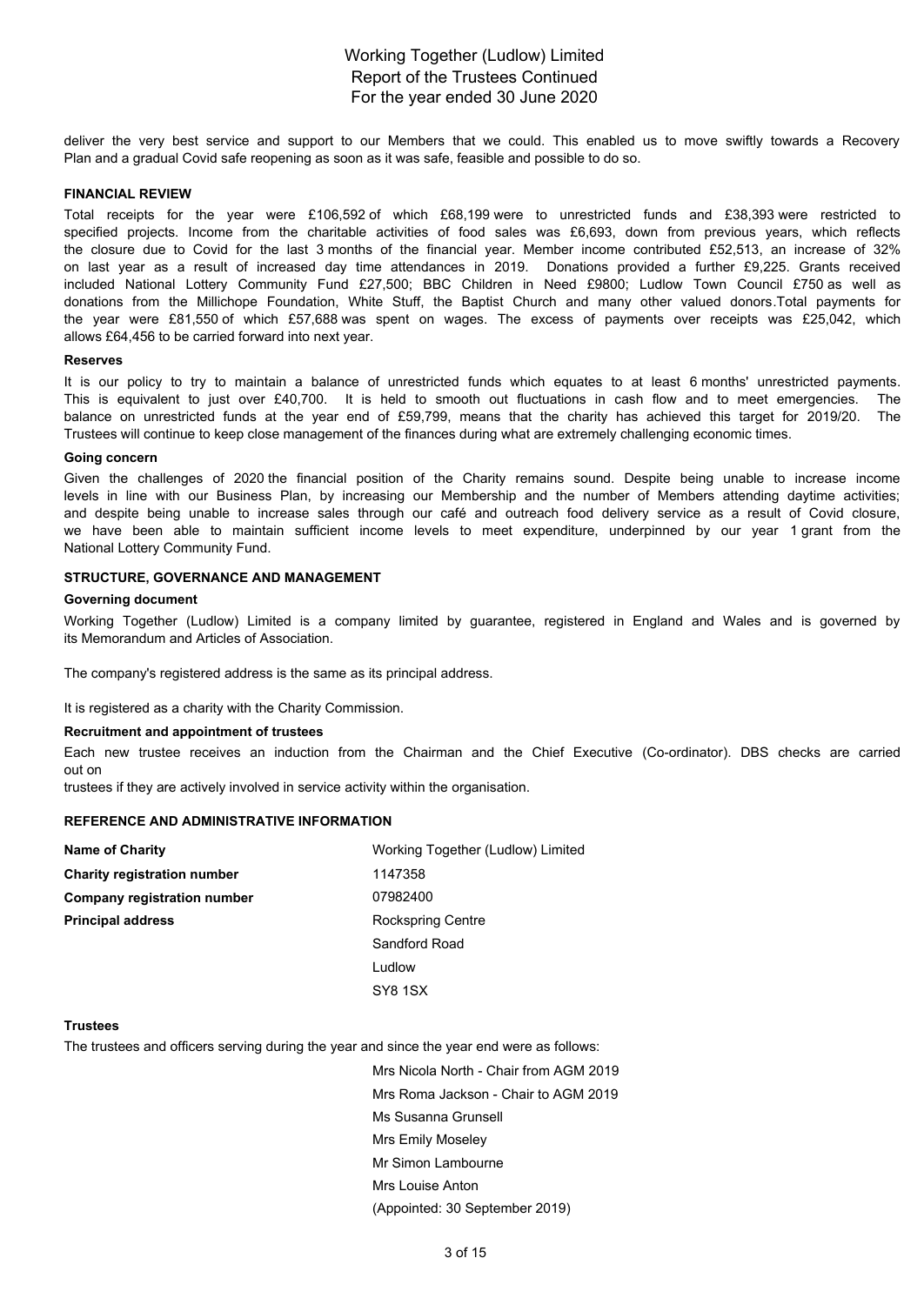# For the year ended 30 June 2020 Working Together (Ludlow) Limited Report of the Trustees Continued

deliver the very best service and support to our Members that we could. This enabled us to move swiftly towards a Recovery Plan and a gradual Covid safe reopening as soon as it was safe, feasible and possible to do so.

### **FINANCIAL REVIEW**

Total receipts for the year were £106,592 of which £68,199 were to unrestricted funds and £38,393 were restricted to specified projects. Income from the charitable activities of food sales was £6,693, down from previous years, which reflects the closure due to Covid for the last 3 months of the financial year. Member income contributed £52,513, an increase of 32% on last year as a result of increased day time attendances in 2019. Donations provided a further £9,225. Grants received included National Lottery Community Fund £27,500; BBC Children in Need £9800; Ludlow Town Council £750 as well as donations from the Millichope Foundation, White Stuff, the Baptist Church and many other valued donors.Total payments for the year were £81,550 of which £57,688 was spent on wages. The excess of payments over receipts was £25,042, which allows £64,456 to be carried forward into next year.

#### **Reserves**

It is our policy to try to maintain a balance of unrestricted funds which equates to at least 6 months' unrestricted payments. This is equivalent to just over £40,700. It is held to smooth out fluctuations in cash flow and to meet emergencies. The balance on unrestricted funds at the year end of £59,799, means that the charity has achieved this target for 2019/20. The Trustees will continue to keep close management of the finances during what are extremely challenging economic times.

#### **Going concern**

Given the challenges of 2020 the financial position of the Charity remains sound. Despite being unable to increase income levels in line with our Business Plan, by increasing our Membership and the number of Members attending daytime activities; and despite being unable to increase sales through our café and outreach food delivery service as a result of Covid closure, we have been able to maintain sufficient income levels to meet expenditure, underpinned by our year 1 grant from the National Lottery Community Fund.

#### **STRUCTURE, GOVERNANCE AND MANAGEMENT**

#### **Governing document**

Working Together (Ludlow) Limited is a company limited by guarantee, registered in England and Wales and is governed by its Memorandum and Articles of Association.

The company's registered address is the same as its principal address.

It is registered as a charity with the Charity Commission.

#### **Recruitment and appointment of trustees**

Each new trustee receives an induction from the Chairman and the Chief Executive (Co-ordinator). DBS checks are carried out on

trustees if they are actively involved in service activity within the organisation.

#### **REFERENCE AND ADMINISTRATIVE INFORMATION**

| <b>Name of Charity</b>             | Working Together (Ludlow) Limited |  |  |
|------------------------------------|-----------------------------------|--|--|
| <b>Charity registration number</b> | 1147358                           |  |  |
| Company registration number        | 07982400                          |  |  |
| <b>Principal address</b>           | Rockspring Centre                 |  |  |
|                                    | Sandford Road                     |  |  |
|                                    | Ludlow                            |  |  |
|                                    | SY8 1SX                           |  |  |

#### **Trustees**

The trustees and officers serving during the year and since the year end were as follows:

Mrs Nicola North - Chair from AGM 2019 Mrs Roma Jackson - Chair to AGM 2019 Ms Susanna Grunsell Mrs Emily Moseley Mr Simon Lambourne Mrs Louise Anton (Appointed: 30 September 2019)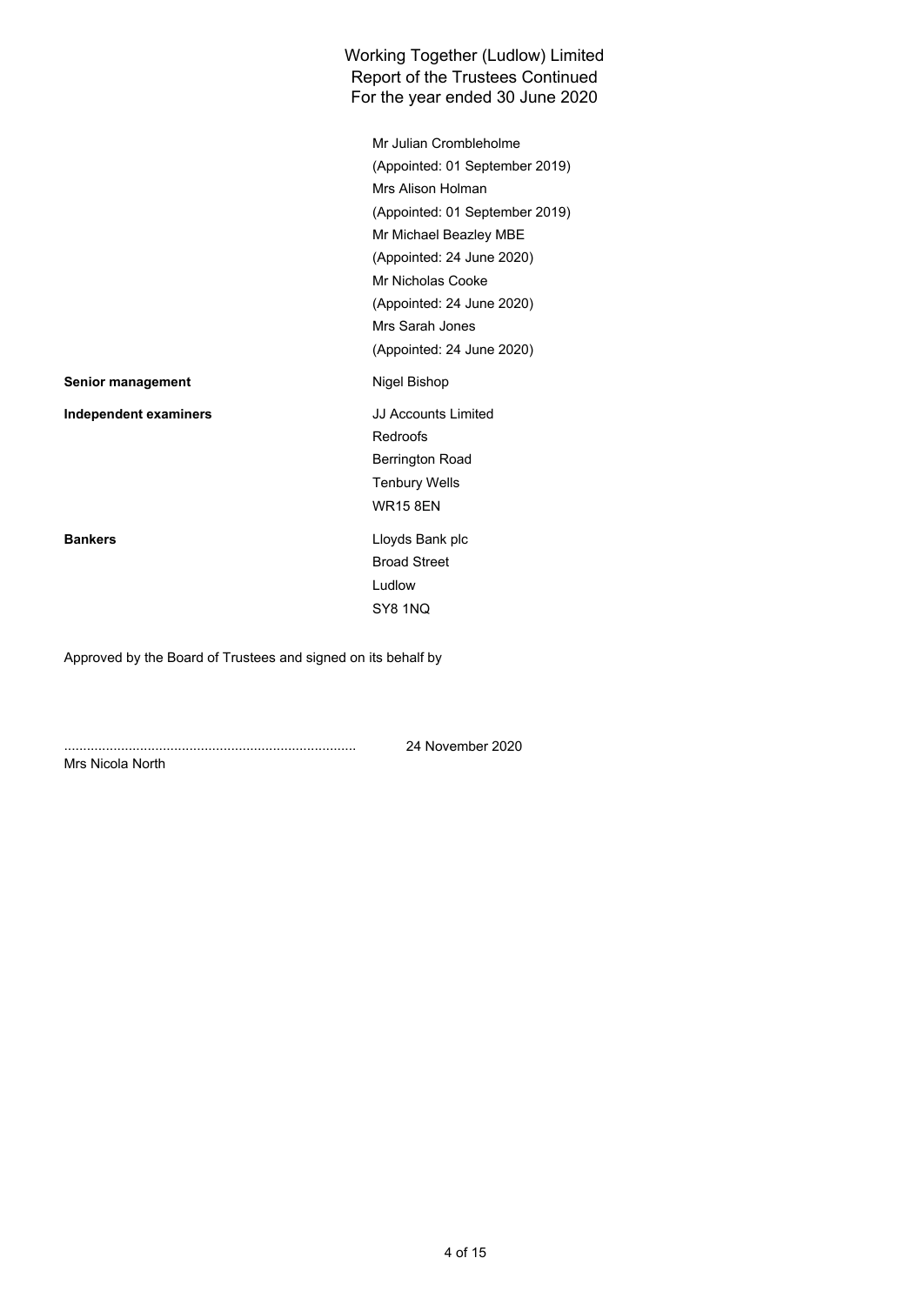# For the year ended 30 June 2020 Working Together (Ludlow) Limited Report of the Trustees Continued

Mr Julian Crombleholme (Appointed: 01 September 2019) Mrs Alison Holman (Appointed: 01 September 2019) Mr Michael Beazley MBE (Appointed: 24 June 2020) Mr Nicholas Cooke (Appointed: 24 June 2020) Mrs Sarah Jones (Appointed: 24 June 2020) **Senior management Nigel Bishop Independent examiners** JJ Accounts Limited Redroofs Berrington Road Tenbury Wells WR15 8EN **Bankers** Lloyds Bank plc Broad Street Ludlow SY8 1NQ

Approved by the Board of Trustees and signed on its behalf by

.............................................................................

24 November 2020

Mrs Nicola North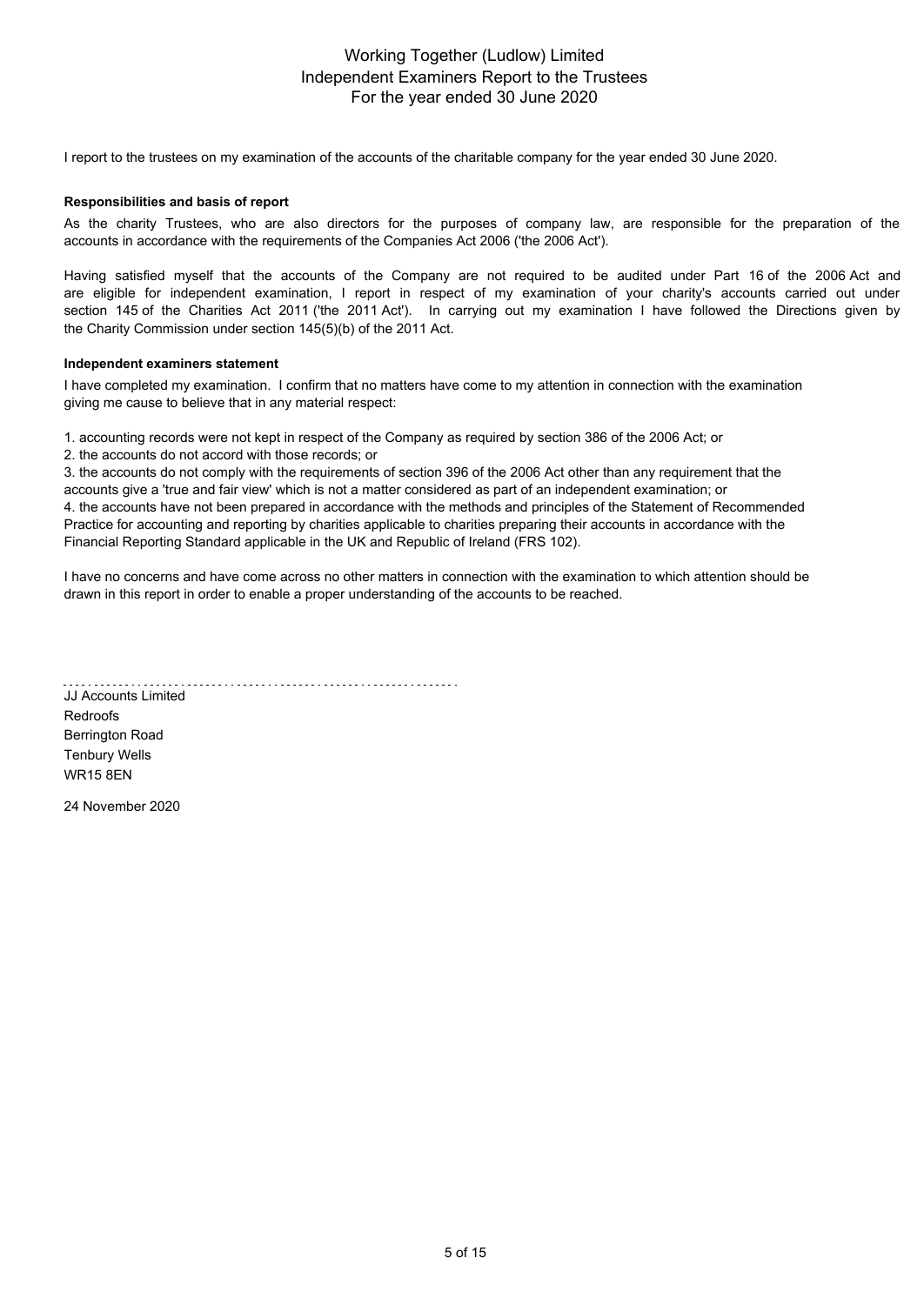## For the year ended 30 June 2020 Working Together (Ludlow) Limited Independent Examiners Report to the Trustees

I report to the trustees on my examination of the accounts of the charitable company for the year ended 30 June 2020.

### **Responsibilities and basis of report**

As the charity Trustees, who are also directors for the purposes of company law, are responsible for the preparation of the accounts in accordance with the requirements of the Companies Act 2006 ('the 2006 Act').

Having satisfied myself that the accounts of the Company are not required to be audited under Part 16 of the 2006 Act and are eligible for independent examination, I report in respect of my examination of your charity's accounts carried out under section 145 of the Charities Act 2011 ('the 2011 Act'). In carrying out my examination I have followed the Directions given by the Charity Commission under section 145(5)(b) of the 2011 Act.

#### **Independent examiners statement**

I have completed my examination. I confirm that no matters have come to my attention in connection with the examination giving me cause to believe that in any material respect:

1. accounting records were not kept in respect of the Company as required by section 386 of the 2006 Act; or

2. the accounts do not accord with those records; or

3. the accounts do not comply with the requirements of section 396 of the 2006 Act other than any requirement that the accounts give a 'true and fair view' which is not a matter considered as part of an independent examination; or 4. the accounts have not been prepared in accordance with the methods and principles of the Statement of Recommended Practice for accounting and reporting by charities applicable to charities preparing their accounts in accordance with the Financial Reporting Standard applicable in the UK and Republic of Ireland (FRS 102).

I have no concerns and have come across no other matters in connection with the examination to which attention should be drawn in this report in order to enable a proper understanding of the accounts to be reached.

JJ Accounts Limited

Redroofs Berrington Road Tenbury Wells WR15 8EN

24 November 2020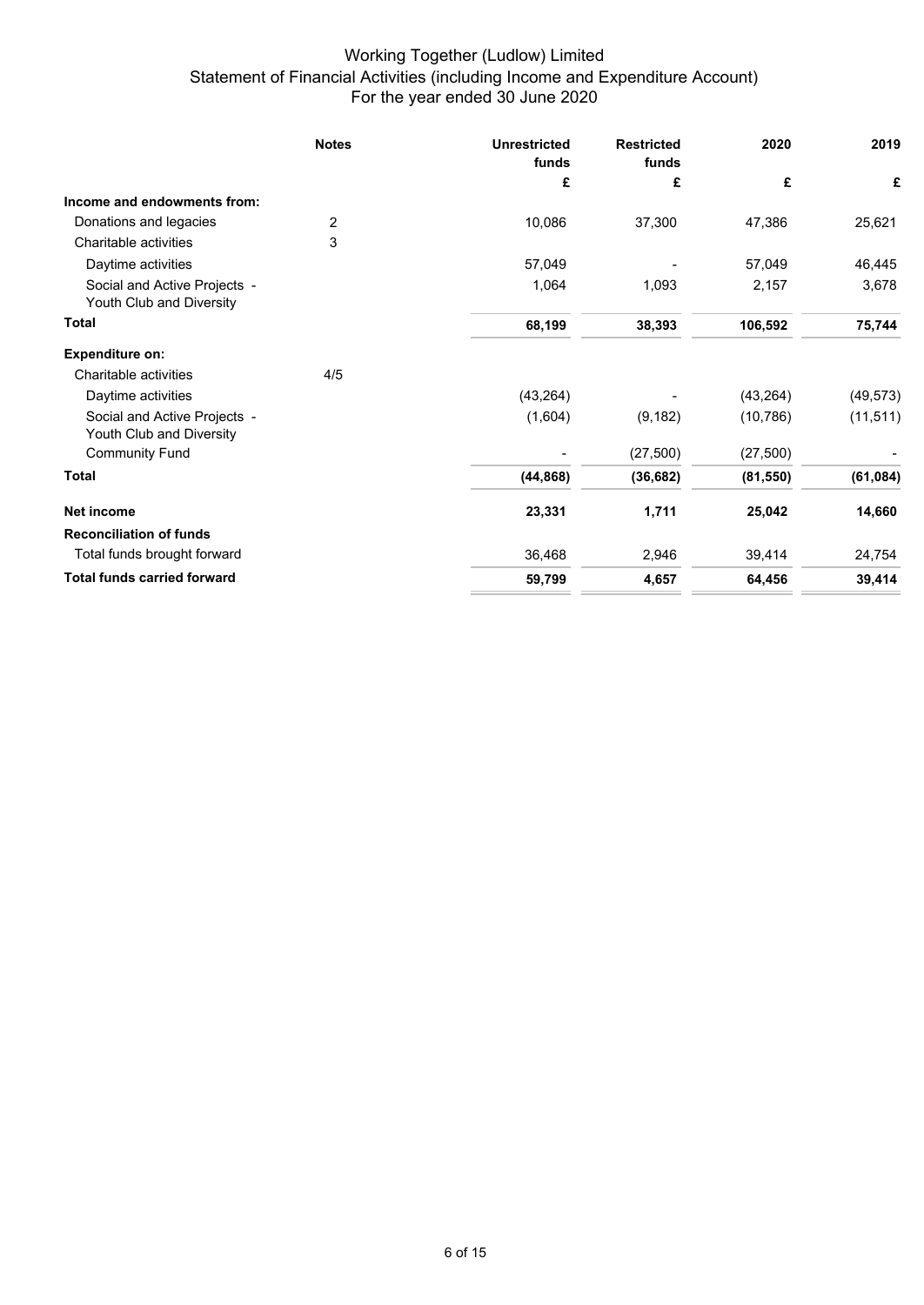# For the year ended 30 June 2020 Working Together (Ludlow) Limited Statement of Financial Activities (including Income and Expenditure Account)

|                                                          | <b>Notes</b> | <b>Unrestricted</b><br>funds | <b>Restricted</b><br>funds | 2020      | 2019      |
|----------------------------------------------------------|--------------|------------------------------|----------------------------|-----------|-----------|
|                                                          |              | £                            | £                          | £         | £         |
| Income and endowments from:                              |              |                              |                            |           |           |
| Donations and legacies                                   | 2            | 10,086                       | 37,300                     | 47,386    | 25,621    |
| Charitable activities                                    | 3            |                              |                            |           |           |
| Daytime activities                                       |              | 57,049                       |                            | 57,049    | 46,445    |
| Social and Active Projects -<br>Youth Club and Diversity |              | 1,064                        | 1,093                      | 2,157     | 3,678     |
| <b>Total</b>                                             |              | 68,199                       | 38,393                     | 106,592   | 75,744    |
| <b>Expenditure on:</b>                                   |              |                              |                            |           |           |
| Charitable activities                                    | 4/5          |                              |                            |           |           |
| Daytime activities                                       |              | (43, 264)                    |                            | (43, 264) | (49, 573) |
| Social and Active Projects -<br>Youth Club and Diversity |              | (1,604)                      | (9, 182)                   | (10, 786) | (11, 511) |
| <b>Community Fund</b>                                    |              |                              | (27, 500)                  | (27, 500) |           |
| Total                                                    |              | (44, 868)                    | (36, 682)                  | (81, 550) | (61, 084) |
| Net income                                               |              | 23,331                       | 1,711                      | 25,042    | 14,660    |
| <b>Reconciliation of funds</b>                           |              |                              |                            |           |           |
| Total funds brought forward                              |              | 36,468                       | 2,946                      | 39,414    | 24,754    |
| <b>Total funds carried forward</b>                       |              | 59,799                       | 4,657                      | 64,456    | 39,414    |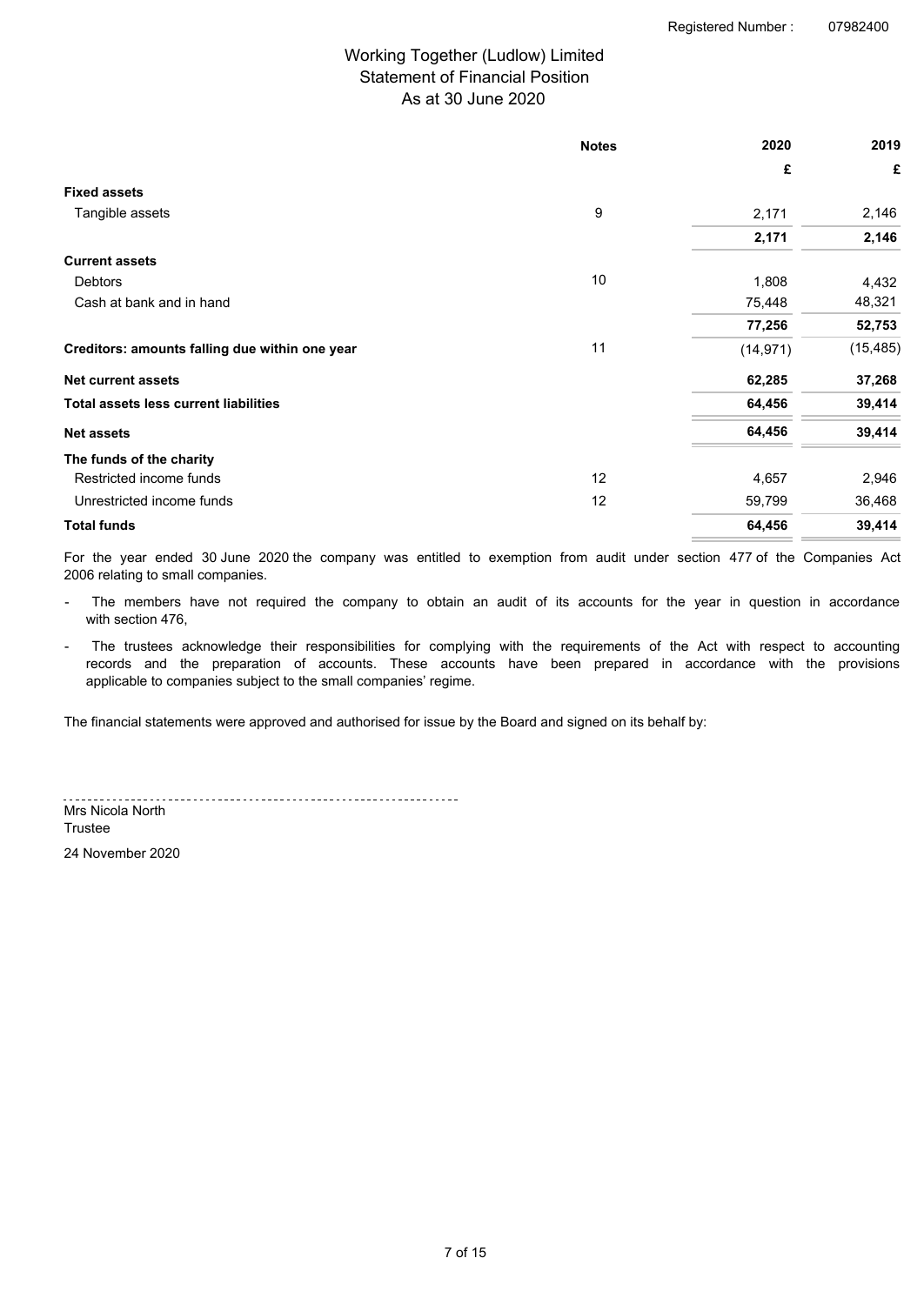# As at 30 June 2020 Working Together (Ludlow) Limited Statement of Financial Position

|                                                | <b>Notes</b> | 2020      | 2019      |
|------------------------------------------------|--------------|-----------|-----------|
|                                                |              | £         | £         |
| <b>Fixed assets</b>                            |              |           |           |
| Tangible assets                                | 9            | 2,171     | 2,146     |
|                                                |              | 2,171     | 2,146     |
| <b>Current assets</b>                          |              |           |           |
| Debtors                                        | 10           | 1,808     | 4,432     |
| Cash at bank and in hand                       |              | 75,448    | 48,321    |
|                                                |              | 77,256    | 52,753    |
| Creditors: amounts falling due within one year | 11           | (14, 971) | (15, 485) |
| <b>Net current assets</b>                      |              | 62,285    | 37,268    |
| <b>Total assets less current liabilities</b>   |              | 64,456    | 39,414    |
| <b>Net assets</b>                              |              | 64,456    | 39,414    |
| The funds of the charity                       |              |           |           |
| Restricted income funds                        | 12           | 4,657     | 2,946     |
| Unrestricted income funds                      | 12           | 59,799    | 36,468    |
| <b>Total funds</b>                             |              | 64,456    | 39,414    |

For the year ended 30 June 2020 the company was entitled to exemption from audit under section 477 of the Companies Act 2006 relating to small companies.

- The members have not required the company to obtain an audit of its accounts for the year in question in accordance with section 476,
- The trustees acknowledge their responsibilities for complying with the requirements of the Act with respect to accounting records and the preparation of accounts. These accounts have been prepared in accordance with the provisions applicable to companies subject to the small companies' regime.

The financial statements were approved and authorised for issue by the Board and signed on its behalf by:

Mrs Nicola North

**Trustee** 

24 November 2020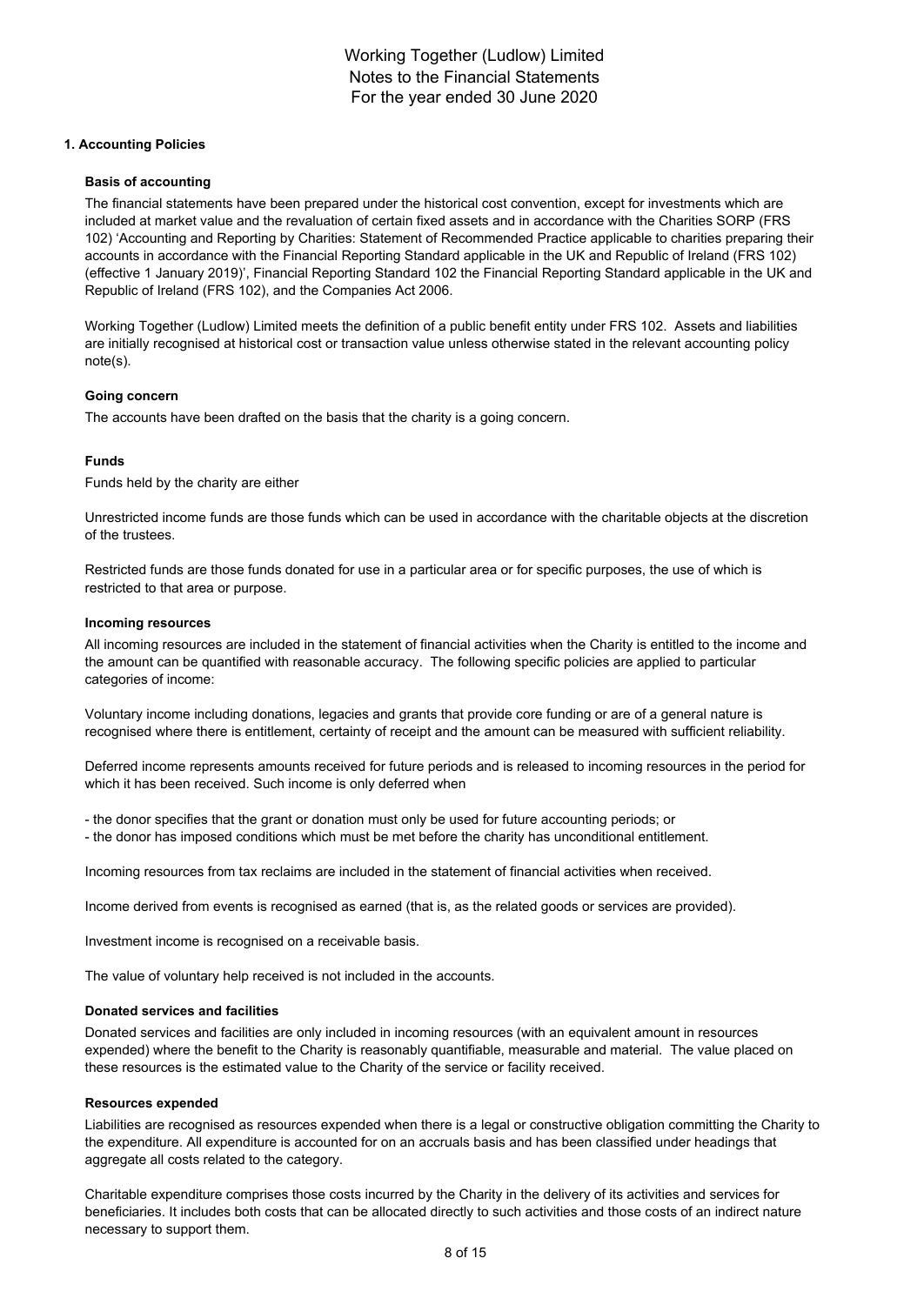### **1. Accounting Policies**

#### **Basis of accounting**

The financial statements have been prepared under the historical cost convention, except for investments which are included at market value and the revaluation of certain fixed assets and in accordance with the Charities SORP (FRS 102) 'Accounting and Reporting by Charities: Statement of Recommended Practice applicable to charities preparing their accounts in accordance with the Financial Reporting Standard applicable in the UK and Republic of Ireland (FRS 102) (effective 1 January 2019)', Financial Reporting Standard 102 the Financial Reporting Standard applicable in the UK and Republic of Ireland (FRS 102), and the Companies Act 2006.

Working Together (Ludlow) Limited meets the definition of a public benefit entity under FRS 102. Assets and liabilities are initially recognised at historical cost or transaction value unless otherwise stated in the relevant accounting policy note(s).

### **Going concern**

The accounts have been drafted on the basis that the charity is a going concern.

### **Funds**

Funds held by the charity are either

Unrestricted income funds are those funds which can be used in accordance with the charitable objects at the discretion of the trustees.

Restricted funds are those funds donated for use in a particular area or for specific purposes, the use of which is restricted to that area or purpose.

#### **Incoming resources**

All incoming resources are included in the statement of financial activities when the Charity is entitled to the income and the amount can be quantified with reasonable accuracy. The following specific policies are applied to particular categories of income:

Voluntary income including donations, legacies and grants that provide core funding or are of a general nature is recognised where there is entitlement, certainty of receipt and the amount can be measured with sufficient reliability.

Deferred income represents amounts received for future periods and is released to incoming resources in the period for which it has been received. Such income is only deferred when

- the donor specifies that the grant or donation must only be used for future accounting periods; or

- the donor has imposed conditions which must be met before the charity has unconditional entitlement.

Incoming resources from tax reclaims are included in the statement of financial activities when received.

Income derived from events is recognised as earned (that is, as the related goods or services are provided).

Investment income is recognised on a receivable basis.

The value of voluntary help received is not included in the accounts.

#### **Donated services and facilities**

Donated services and facilities are only included in incoming resources (with an equivalent amount in resources expended) where the benefit to the Charity is reasonably quantifiable, measurable and material. The value placed on these resources is the estimated value to the Charity of the service or facility received.

#### **Resources expended**

Liabilities are recognised as resources expended when there is a legal or constructive obligation committing the Charity to the expenditure. All expenditure is accounted for on an accruals basis and has been classified under headings that aggregate all costs related to the category.

Charitable expenditure comprises those costs incurred by the Charity in the delivery of its activities and services for beneficiaries. It includes both costs that can be allocated directly to such activities and those costs of an indirect nature necessary to support them.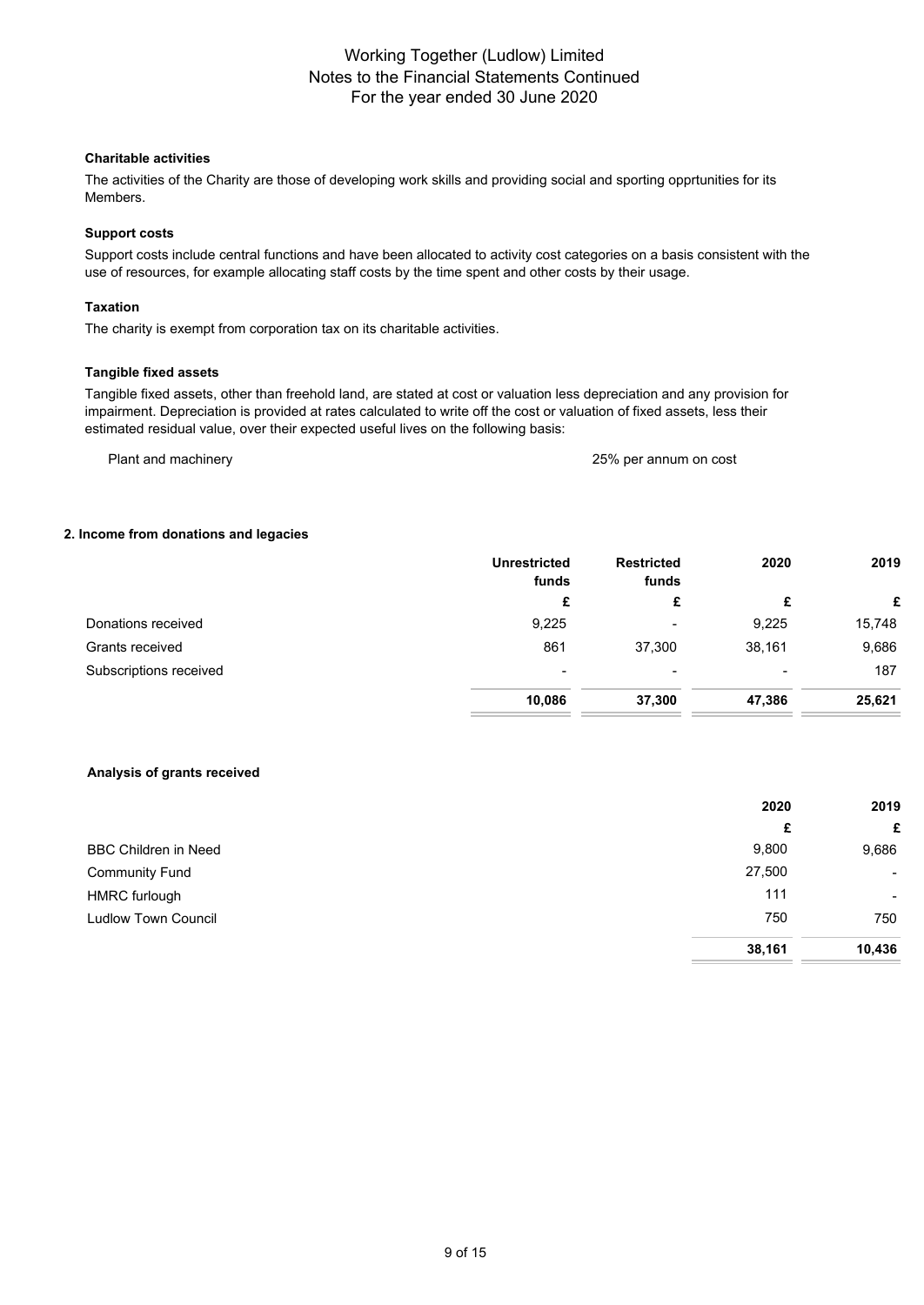## **Charitable activities**

The activities of the Charity are those of developing work skills and providing social and sporting opprtunities for its Members.

## **Support costs**

Support costs include central functions and have been allocated to activity cost categories on a basis consistent with the use of resources, for example allocating staff costs by the time spent and other costs by their usage.

### **Taxation**

The charity is exempt from corporation tax on its charitable activities.

### **Tangible fixed assets**

Tangible fixed assets, other than freehold land, are stated at cost or valuation less depreciation and any provision for impairment. Depreciation is provided at rates calculated to write off the cost or valuation of fixed assets, less their estimated residual value, over their expected useful lives on the following basis:

Plant and machinery 25% per annum on cost

### **2. Income from donations and legacies**

|                        | <b>Unrestricted</b><br>funds | <b>Restricted</b><br>funds | 2020   | 2019   |
|------------------------|------------------------------|----------------------------|--------|--------|
|                        | £                            | £                          | £      | £      |
| Donations received     | 9,225                        | $\overline{\phantom{0}}$   | 9,225  | 15,748 |
| Grants received        | 861                          | 37,300                     | 38,161 | 9,686  |
| Subscriptions received | $\overline{\phantom{0}}$     | -                          |        | 187    |
|                        | 10,086                       | 37,300                     | 47,386 | 25,621 |

### **Analysis of grants received**

|                             | 2020   | 2019   |
|-----------------------------|--------|--------|
|                             | £      | £      |
| <b>BBC Children in Need</b> | 9,800  | 9,686  |
| <b>Community Fund</b>       | 27,500 | $\sim$ |
| <b>HMRC</b> furlough        | 111    | $\sim$ |
| <b>Ludlow Town Council</b>  | 750    | 750    |
|                             | 38,161 | 10,436 |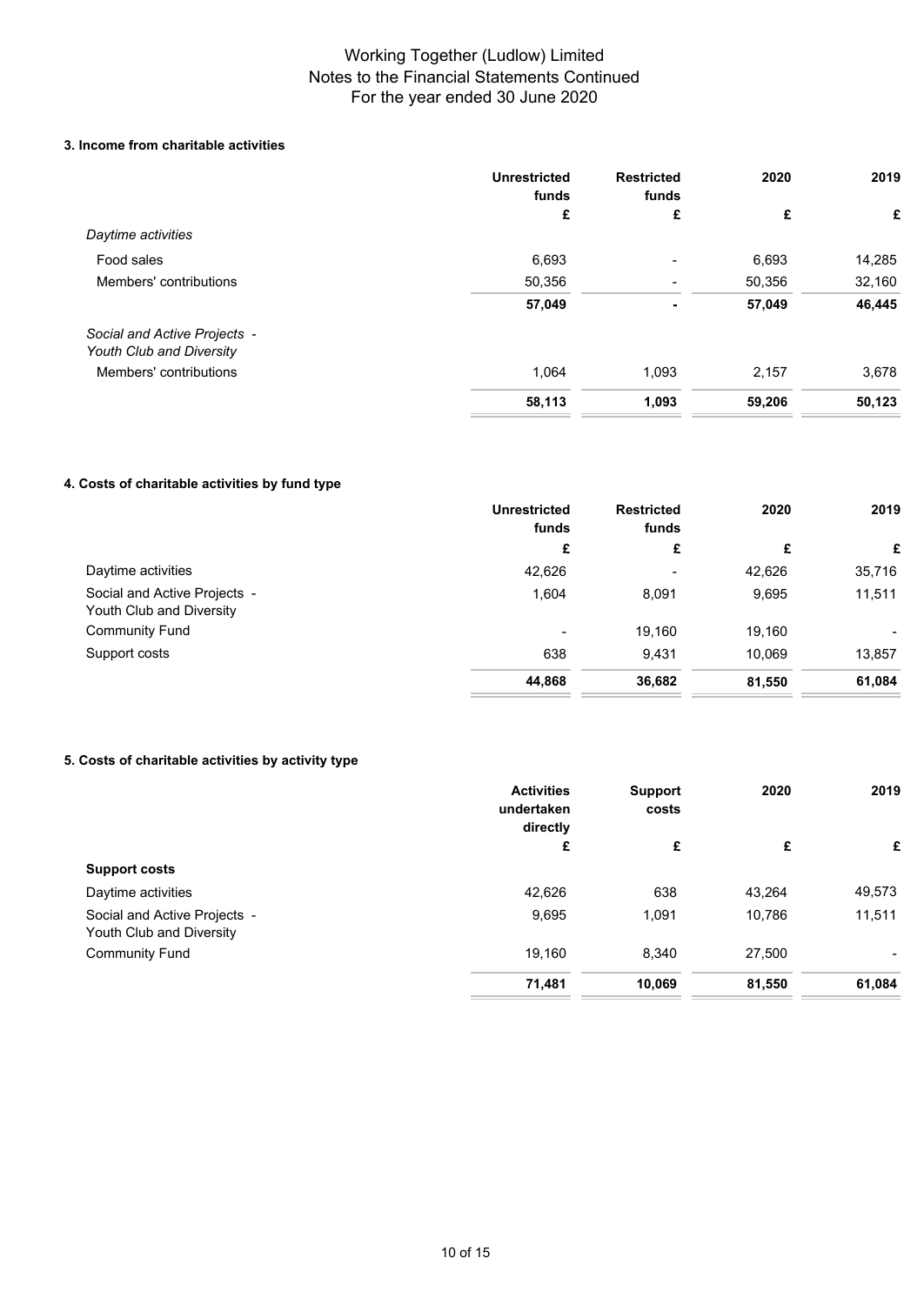## **3. Income from charitable activities**

|                                                          | <b>Unrestricted</b><br>funds | <b>Restricted</b><br>funds | 2020   | 2019   |
|----------------------------------------------------------|------------------------------|----------------------------|--------|--------|
|                                                          | £                            | £                          | £      | £      |
| Daytime activities                                       |                              |                            |        |        |
| Food sales                                               | 6,693                        |                            | 6,693  | 14,285 |
| Members' contributions                                   | 50,356                       |                            | 50,356 | 32,160 |
|                                                          | 57,049                       | $\blacksquare$             | 57,049 | 46,445 |
| Social and Active Projects -<br>Youth Club and Diversity |                              |                            |        |        |
| Members' contributions                                   | 1,064                        | 1,093                      | 2,157  | 3,678  |
|                                                          | 58,113                       | 1,093                      | 59,206 | 50,123 |

## **4. Costs of charitable activities by fund type**

| 2019                     |
|--------------------------|
| £                        |
| 35,716                   |
| 11,511                   |
| $\overline{\phantom{0}}$ |
| 13,857                   |
| 61,084                   |
|                          |

## **5. Costs of charitable activities by activity type**

|                                                          | <b>Activities</b><br>undertaken<br>directly | <b>Support</b><br>costs | 2020   | 2019                     |
|----------------------------------------------------------|---------------------------------------------|-------------------------|--------|--------------------------|
|                                                          | £                                           | £                       | £      | £                        |
| <b>Support costs</b>                                     |                                             |                         |        |                          |
| Daytime activities                                       | 42,626                                      | 638                     | 43,264 | 49,573                   |
| Social and Active Projects -<br>Youth Club and Diversity | 9,695                                       | 1,091                   | 10,786 | 11,511                   |
| <b>Community Fund</b>                                    | 19,160                                      | 8,340                   | 27,500 | $\overline{\phantom{0}}$ |
|                                                          | 71,481                                      | 10,069                  | 81,550 | 61,084                   |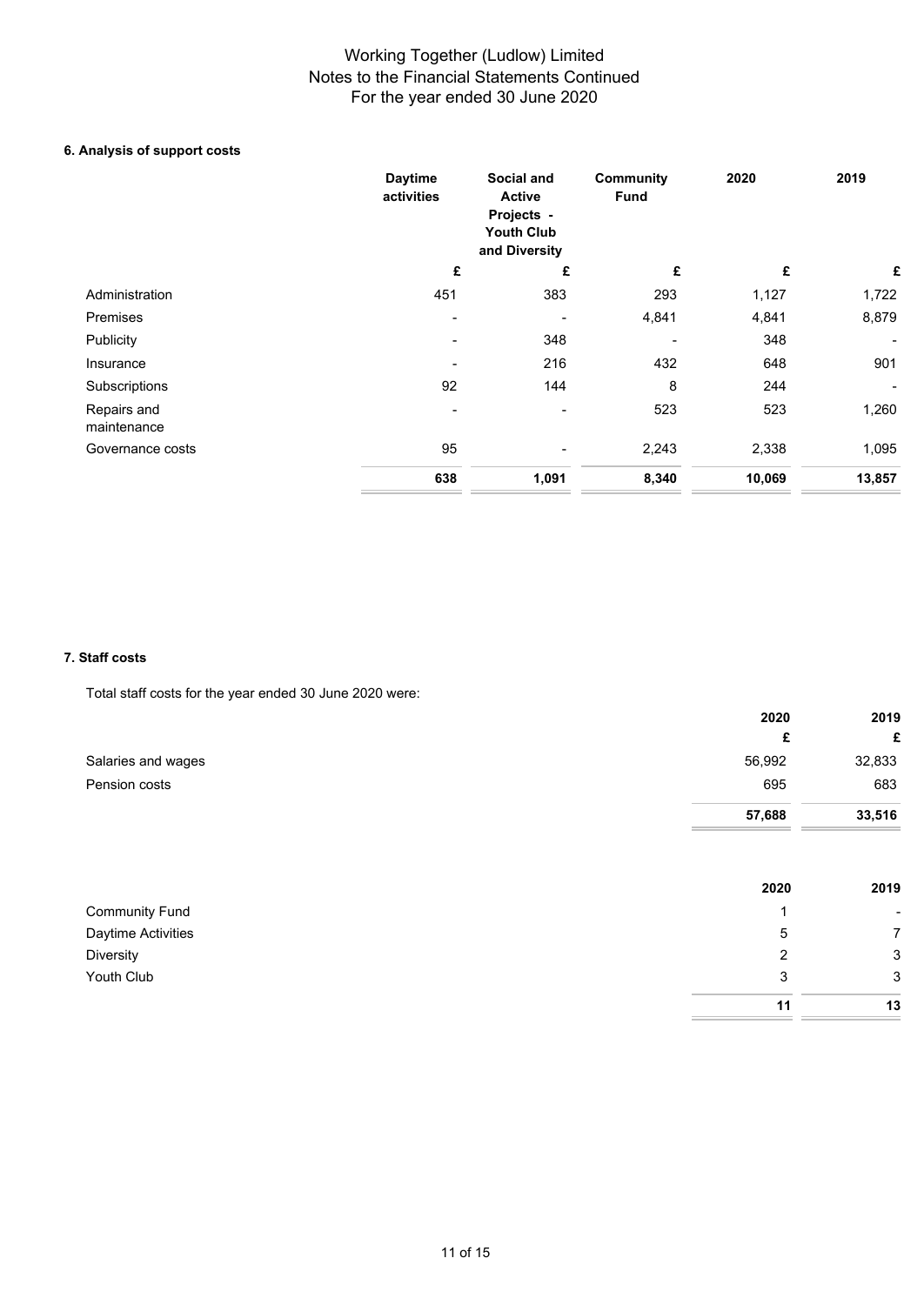## **6. Analysis of support costs**

|                            | <b>Daytime</b><br>activities | Social and<br><b>Active</b><br>Projects -<br><b>Youth Club</b><br>and Diversity | <b>Community</b><br><b>Fund</b> | 2020   | 2019   |
|----------------------------|------------------------------|---------------------------------------------------------------------------------|---------------------------------|--------|--------|
|                            | £                            | £                                                                               | £                               | £      | £      |
| Administration             | 451                          | 383                                                                             | 293                             | 1,127  | 1,722  |
| Premises                   |                              |                                                                                 | 4,841                           | 4,841  | 8,879  |
| Publicity                  |                              | 348                                                                             |                                 | 348    |        |
| Insurance                  |                              | 216                                                                             | 432                             | 648    | 901    |
| Subscriptions              | 92                           | 144                                                                             | 8                               | 244    |        |
| Repairs and<br>maintenance |                              |                                                                                 | 523                             | 523    | 1,260  |
| Governance costs           | 95                           |                                                                                 | 2,243                           | 2,338  | 1,095  |
|                            | 638                          | 1,091                                                                           | 8,340                           | 10,069 | 13,857 |

### **7. Staff costs**

Total staff costs for the year ended 30 June 2020 were:

|                    | 2020   | 2019   |
|--------------------|--------|--------|
|                    | £      | £      |
| Salaries and wages | 56,992 | 32,833 |
| Pension costs      | 695    | 683    |
|                    | 57,688 | 33,516 |
|                    |        |        |

|                       | 2020 | 2019                     |
|-----------------------|------|--------------------------|
| <b>Community Fund</b> |      | $\overline{\phantom{a}}$ |
| Daytime Activities    | 5    | $\overline{7}$           |
| Diversity             | າ    | 3                        |
| Youth Club            | 3    | $\mathbf{3}$             |
|                       | 11   | 13                       |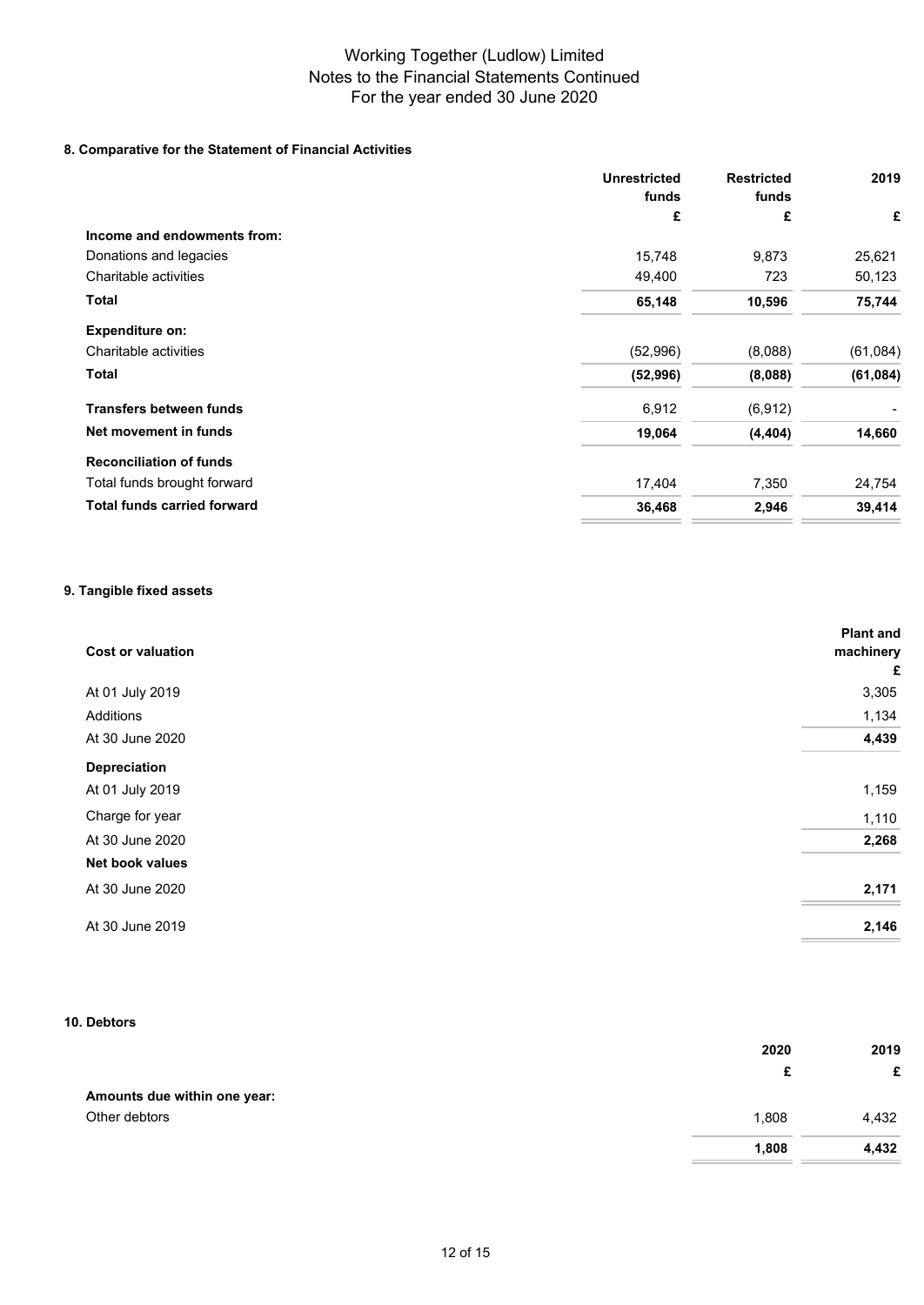## **8. Comparative for the Statement of Financial Activities**

| <b>Unrestricted</b><br>funds | <b>Restricted</b><br>funds | 2019      |
|------------------------------|----------------------------|-----------|
| £                            | £                          | £         |
|                              |                            |           |
| 15,748                       | 9,873                      | 25,621    |
| 49,400                       | 723                        | 50,123    |
| 65,148                       | 10,596                     | 75,744    |
|                              |                            |           |
| (52,996)                     | (8,088)                    | (61, 084) |
| (52, 996)                    | (8,088)                    | (61, 084) |
| 6,912                        | (6, 912)                   |           |
| 19,064                       | (4, 404)                   | 14,660    |
|                              |                            |           |
| 17,404                       | 7,350                      | 24,754    |
| 36,468                       | 2,946                      | 39,414    |
|                              |                            |           |

## **9. Tangible fixed assets**

| <b>Cost or valuation</b> | <b>Plant and</b><br>machinery<br>£ |
|--------------------------|------------------------------------|
| At 01 July 2019          | 3,305                              |
| Additions                | 1,134                              |
| At 30 June 2020          | 4,439                              |
| Depreciation             |                                    |
| At 01 July 2019          | 1,159                              |
| Charge for year          | 1,110                              |
| At 30 June 2020          | 2,268                              |
| Net book values          |                                    |
| At 30 June 2020          | 2,171                              |
| At 30 June 2019          | 2,146                              |

## **10. Debtors**

|                              | 2020  | 2019  |
|------------------------------|-------|-------|
|                              | £     | £     |
| Amounts due within one year: |       |       |
| Other debtors                | 1,808 | 4,432 |
|                              | 1,808 | 4,432 |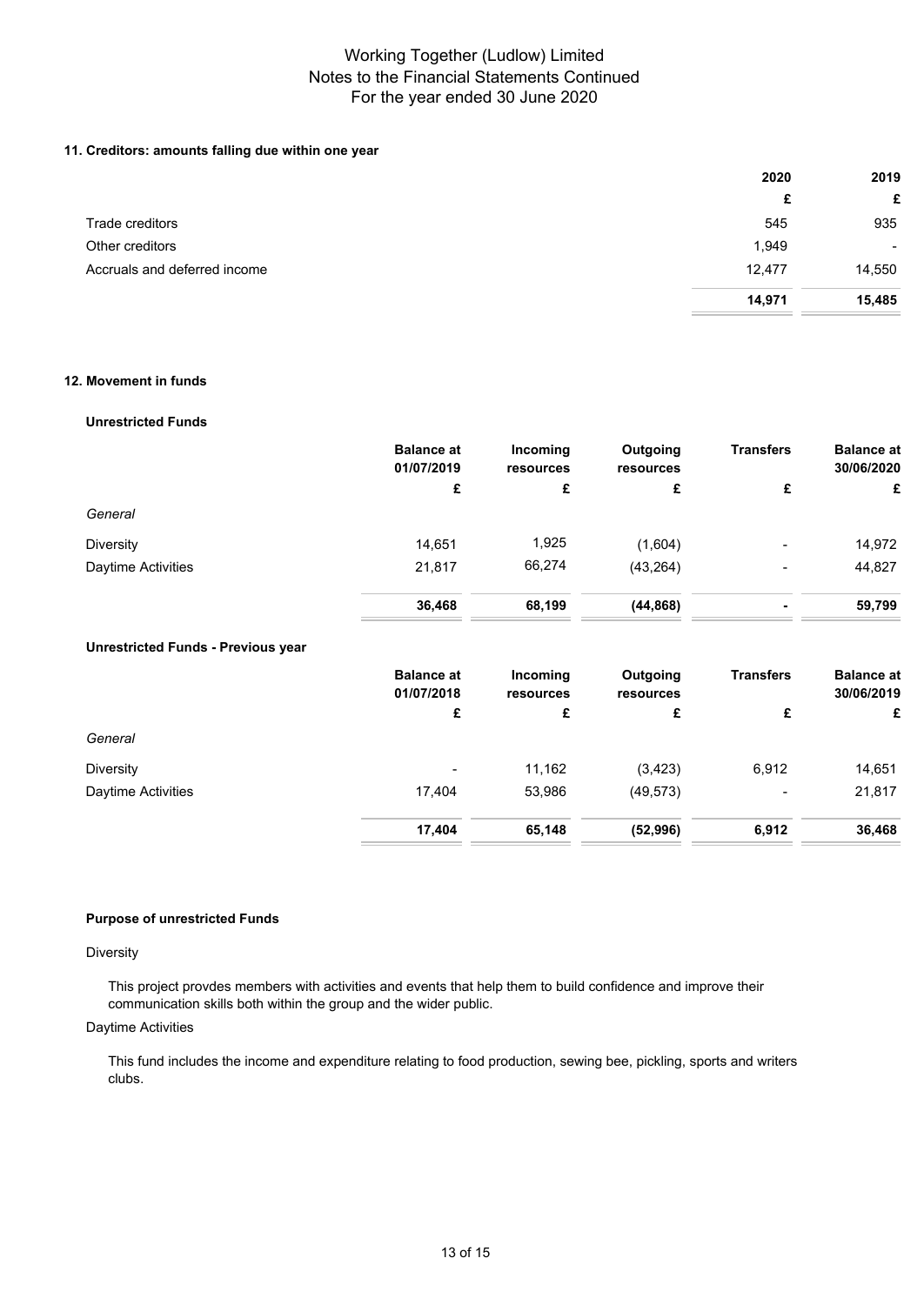## **11. Creditors: amounts falling due within one year**

|                              | 2020   | 2019           |
|------------------------------|--------|----------------|
|                              | £      | £              |
| Trade creditors              | 545    | 935            |
| Other creditors              | 1,949  | $\blacksquare$ |
| Accruals and deferred income | 12,477 | 14,550         |
|                              | 14,971 | 15,485         |

## **12. Movement in funds**

#### **Unrestricted Funds**

|                    | <b>Balance at</b><br>01/07/2019 | Incoming<br>resources | Outgoing<br>resources | <b>Transfers</b>         | <b>Balance at</b><br>30/06/2020 |
|--------------------|---------------------------------|-----------------------|-----------------------|--------------------------|---------------------------------|
|                    | £                               | £                     | £                     | £                        | £                               |
| General            |                                 |                       |                       |                          |                                 |
| <b>Diversity</b>   | 14,651                          | 1,925                 | (1,604)               | $\overline{\phantom{0}}$ | 14,972                          |
| Daytime Activities | 21,817                          | 66,274                | (43, 264)             | $\overline{\phantom{0}}$ | 44,827                          |
|                    | 36,468                          | 68,199                | (44, 868)             | ٠                        | 59,799                          |

## **Unrestricted Funds - Previous year**

|                           | <b>Balance at</b><br>01/07/2018 | Incoming<br>resources | Outgoing<br>resources | <b>Transfers</b> | <b>Balance at</b><br>30/06/2019 |
|---------------------------|---------------------------------|-----------------------|-----------------------|------------------|---------------------------------|
|                           | £                               | £                     | £                     | £                | £                               |
| General                   |                                 |                       |                       |                  |                                 |
| <b>Diversity</b>          | $\,$ $\,$                       | 11,162                | (3, 423)              | 6,912            | 14,651                          |
| <b>Daytime Activities</b> | 17.404                          | 53,986                | (49, 573)             |                  | 21,817                          |
|                           | 17,404                          | 65,148                | (52, 996)             | 6,912            | 36,468                          |

## **Purpose of unrestricted Funds**

### **Diversity**

This project provdes members with activities and events that help them to build confidence and improve their communication skills both within the group and the wider public.

### Daytime Activities

This fund includes the income and expenditure relating to food production, sewing bee, pickling, sports and writers clubs.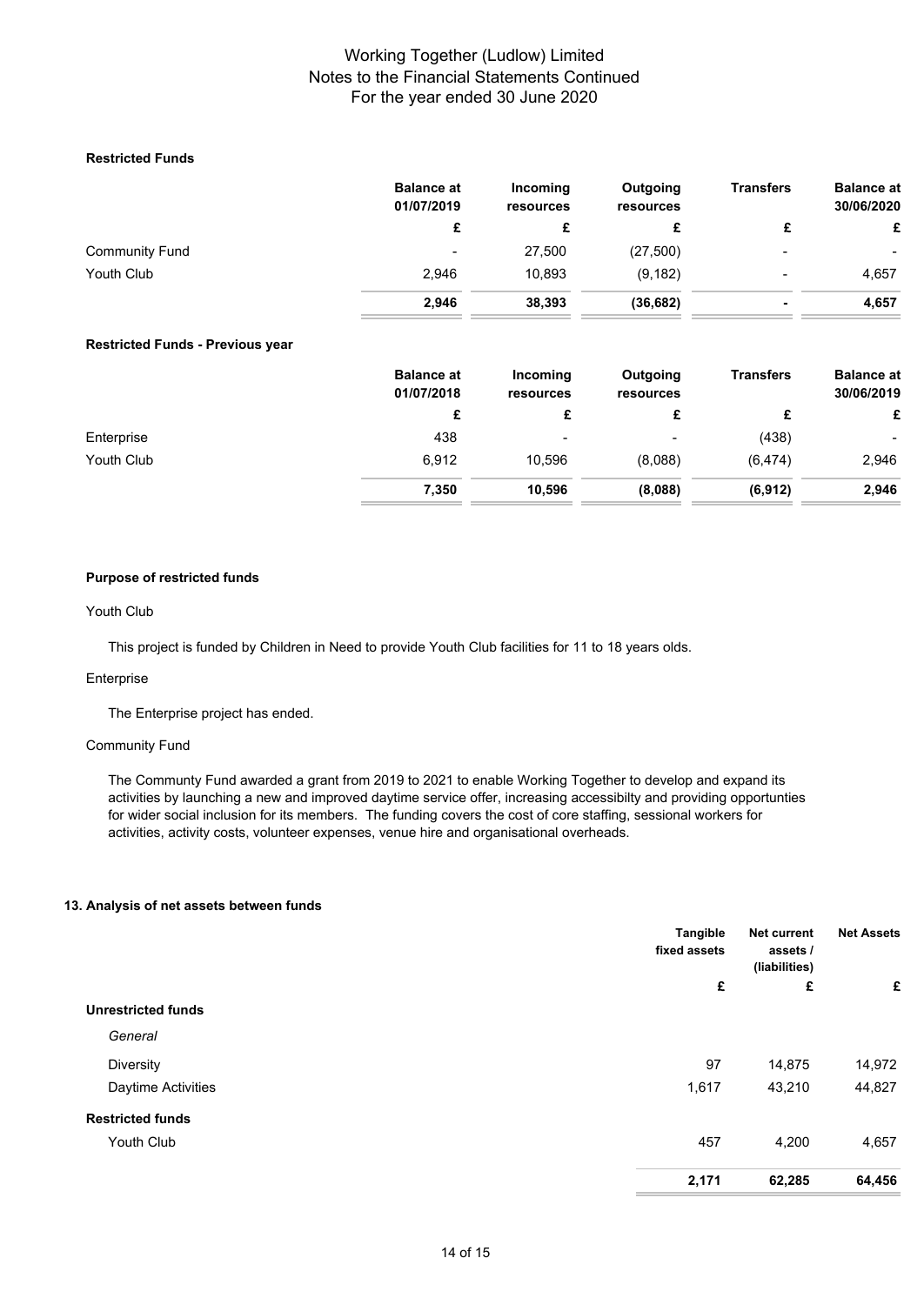## **Restricted Funds**

|                       | <b>Balance at</b><br>01/07/2019 | Incoming<br>resources | Outgoing<br>resources | <b>Transfers</b>         | <b>Balance at</b><br>30/06/2020 |
|-----------------------|---------------------------------|-----------------------|-----------------------|--------------------------|---------------------------------|
|                       |                                 |                       |                       |                          | £                               |
| <b>Community Fund</b> | ۰                               | 27,500                | (27, 500)             | $\overline{\phantom{0}}$ | ۰                               |
| Youth Club            | 2.946                           | 10.893                | (9, 182)              |                          | 4,657                           |
|                       | 2,946                           | 38,393                | (36, 682)             |                          | 4,657                           |

### **Restricted Funds - Previous year**

| <b>Balance at</b><br>01/07/2018 | Incoming<br>resources    | Outgoing<br>resources | <b>Transfers</b> | <b>Balance at</b><br>30/06/2019 |
|---------------------------------|--------------------------|-----------------------|------------------|---------------------------------|
| £                               | £                        | £                     | c                | £                               |
| 438                             | $\overline{\phantom{0}}$ | -                     | (438)            | $\blacksquare$                  |
| 6,912                           | 10.596                   | (8.088)               | (6, 474)         | 2,946                           |
| 7,350                           | 10.596                   | (8,088)               | (6, 912)         | 2,946                           |
|                                 |                          |                       |                  |                                 |

## **Purpose of restricted funds**

## Youth Club

This project is funded by Children in Need to provide Youth Club facilities for 11 to 18 years olds.

### Enterprise

The Enterprise project has ended.

## Community Fund

The Communty Fund awarded a grant from 2019 to 2021 to enable Working Together to develop and expand its activities by launching a new and improved daytime service offer, increasing accessibilty and providing opportunties for wider social inclusion for its members. The funding covers the cost of core staffing, sessional workers for activities, activity costs, volunteer expenses, venue hire and organisational overheads.

#### **13. Analysis of net assets between funds**

|                           | Tangible<br>fixed assets | Net current<br>assets /<br>(liabilities) | <b>Net Assets</b> |
|---------------------------|--------------------------|------------------------------------------|-------------------|
|                           | £                        | £                                        | £                 |
| <b>Unrestricted funds</b> |                          |                                          |                   |
| General                   |                          |                                          |                   |
| Diversity                 | 97                       | 14,875                                   | 14,972            |
| Daytime Activities        | 1,617                    | 43,210                                   | 44,827            |
| <b>Restricted funds</b>   |                          |                                          |                   |
| Youth Club                | 457                      | 4,200                                    | 4,657             |
|                           | 2,171                    | 62,285                                   | 64,456            |